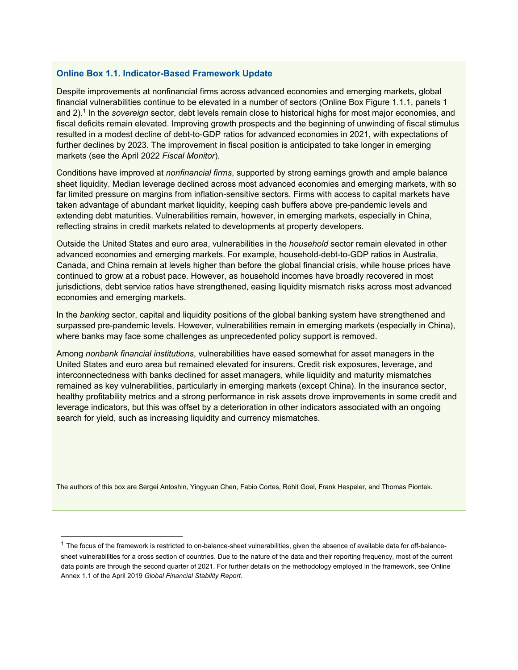## **Online Box 1.1. Indicator-Based Framework Update**

Despite improvements at nonfinancial firms across advanced economies and emerging markets, global financial vulnerabilities continue to be elevated in a number of sectors (Online Box Figure 1.1.1, panels 1 and 2).1 In the *sovereign* sector, debt levels remain close to historical highs for most major economies, and fiscal deficits remain elevated. Improving growth prospects and the beginning of unwinding of fiscal stimulus resulted in a modest decline of debt-to-GDP ratios for advanced economies in 2021, with expectations of further declines by 2023. The improvement in fiscal position is anticipated to take longer in emerging markets (see the April 2022 *Fiscal Monitor*).

Conditions have improved at *nonfinancial firms*, supported by strong earnings growth and ample balance sheet liquidity. Median leverage declined across most advanced economies and emerging markets, with so far limited pressure on margins from inflation-sensitive sectors. Firms with access to capital markets have taken advantage of abundant market liquidity, keeping cash buffers above pre-pandemic levels and extending debt maturities. Vulnerabilities remain, however, in emerging markets, especially in China, reflecting strains in credit markets related to developments at property developers.

Outside the United States and euro area, vulnerabilities in the *household* sector remain elevated in other advanced economies and emerging markets. For example, household-debt-to-GDP ratios in Australia, Canada, and China remain at levels higher than before the global financial crisis, while house prices have continued to grow at a robust pace. However, as household incomes have broadly recovered in most jurisdictions, debt service ratios have strengthened, easing liquidity mismatch risks across most advanced economies and emerging markets.

In the *banking* sector, capital and liquidity positions of the global banking system have strengthened and surpassed pre-pandemic levels. However, vulnerabilities remain in emerging markets (especially in China), where banks may face some challenges as unprecedented policy support is removed.

Among *nonbank financial institutions*, vulnerabilities have eased somewhat for asset managers in the United States and euro area but remained elevated for insurers. Credit risk exposures, leverage, and interconnectedness with banks declined for asset managers, while liquidity and maturity mismatches remained as key vulnerabilities, particularly in emerging markets (except China). In the insurance sector, healthy profitability metrics and a strong performance in risk assets drove improvements in some credit and leverage indicators, but this was offset by a deterioration in other indicators associated with an ongoing search for yield, such as increasing liquidity and currency mismatches.

The authors of this box are Sergei Antoshin, Yingyuan Chen, Fabio Cortes, Rohit Goel, Frank Hespeler, and Thomas Piontek.

 $1$  The focus of the framework is restricted to on-balance-sheet vulnerabilities, given the absence of available data for off-balancesheet vulnerabilities for a cross section of countries. Due to the nature of the data and their reporting frequency, most of the current data points are through the second quarter of 2021. For further details on the methodology employed in the framework, see Online Annex 1.1 of the April 2019 *Global Financial Stability Report.*